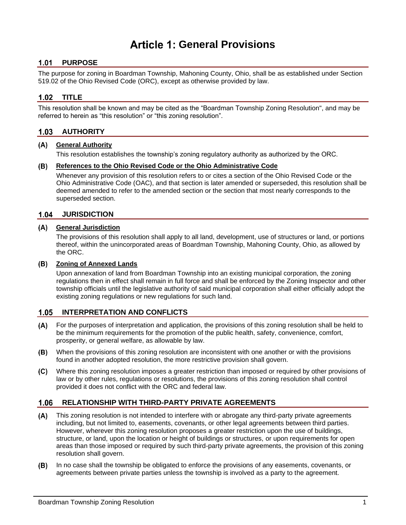# **General Provisions**

# 1.01 PURPOSE

The purpose for zoning in Boardman Township, Mahoning County, Ohio, shall be as established under Section 519.02 of the Ohio Revised Code (ORC), except as otherwise provided by law.

# **TITLE**

This resolution shall be known and may be cited as the "Boardman Township Zoning Resolution", and may be referred to herein as "this resolution" or "this zoning resolution".

# **AUTHORITY**

#### **General Authority**

This resolution establishes the township's zoning regulatory authority as authorized by the ORC.

### **References to the Ohio Revised Code or the Ohio Administrative Code**

Whenever any provision of this resolution refers to or cites a section of the Ohio Revised Code or the Ohio Administrative Code (OAC), and that section is later amended or superseded, this resolution shall be deemed amended to refer to the amended section or the section that most nearly corresponds to the superseded section.

## **JURISDICTION**

#### **General Jurisdiction**

The provisions of this resolution shall apply to all land, development, use of structures or land, or portions thereof, within the unincorporated areas of Boardman Township, Mahoning County, Ohio, as allowed by the ORC.

#### **Zoning of Annexed Lands**

Upon annexation of land from Boardman Township into an existing municipal corporation, the zoning regulations then in effect shall remain in full force and shall be enforced by the Zoning Inspector and other township officials until the legislative authority of said municipal corporation shall either officially adopt the existing zoning regulations or new regulations for such land.

# **INTERPRETATION AND CONFLICTS**

- For the purposes of interpretation and application, the provisions of this zoning resolution shall be held to be the minimum requirements for the promotion of the public health, safety, convenience, comfort, prosperity, or general welfare, as allowable by law.
- (B) When the provisions of this zoning resolution are inconsistent with one another or with the provisions found in another adopted resolution, the more restrictive provision shall govern.
- Where this zoning resolution imposes a greater restriction than imposed or required by other provisions of  $(C)$ law or by other rules, regulations or resolutions, the provisions of this zoning resolution shall control provided it does not conflict with the ORC and federal law.

# **RELATIONSHIP WITH THIRD-PARTY PRIVATE AGREEMENTS**

- This zoning resolution is not intended to interfere with or abrogate any third-party private agreements including, but not limited to, easements, covenants, or other legal agreements between third parties. However, wherever this zoning resolution proposes a greater restriction upon the use of buildings, structure, or land, upon the location or height of buildings or structures, or upon requirements for open areas than those imposed or required by such third-party private agreements, the provision of this zoning resolution shall govern.
- **(B)** In no case shall the township be obligated to enforce the provisions of any easements, covenants, or agreements between private parties unless the township is involved as a party to the agreement.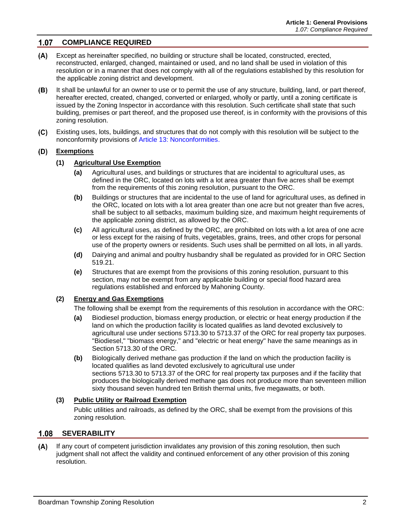# **COMPLIANCE REQUIRED**

- Except as hereinafter specified, no building or structure shall be located, constructed, erected,  $(A)$ reconstructed, enlarged, changed, maintained or used, and no land shall be used in violation of this resolution or in a manner that does not comply with all of the regulations established by this resolution for the applicable zoning district and development.
- It shall be unlawful for an owner to use or to permit the use of any structure, building, land, or part thereof, hereafter erected, created, changed, converted or enlarged, wholly or partly, until a zoning certificate is issued by the Zoning Inspector in accordance with this resolution. Such certificate shall state that such building, premises or part thereof, and the proposed use thereof, is in conformity with the provisions of this zoning resolution.
- $(C)$ Existing uses, lots, buildings, and structures that do not comply with this resolution will be subject to the nonconformity provisions of Article 13: Nonconformities.

#### **Exemptions**

#### **(1) Agricultural Use Exemption**

- **(a)** Agricultural uses, and buildings or structures that are incidental to agricultural uses, as defined in the ORC, located on lots with a lot area greater than five acres shall be exempt from the requirements of this zoning resolution, pursuant to the ORC.
- **(b)** Buildings or structures that are incidental to the use of land for agricultural uses, as defined in the ORC, located on lots with a lot area greater than one acre but not greater than five acres, shall be subject to all setbacks, maximum building size, and maximum height requirements of the applicable zoning district, as allowed by the ORC.
- **(c)** All agricultural uses, as defined by the ORC, are prohibited on lots with a lot area of one acre or less except for the raising of fruits, vegetables, grains, trees, and other crops for personal use of the property owners or residents. Such uses shall be permitted on all lots, in all yards.
- **(d)** Dairying and animal and poultry husbandry shall be regulated as provided for in ORC Section [519.21.](http://codes.ohio.gov/orc/519.21v1)
- **(e)** Structures that are exempt from the provisions of this zoning resolution, pursuant to this section, may not be exempt from any applicable building or special flood hazard area regulations established and enforced by Mahoning County.

#### **(2) Energy and Gas Exemptions**

The following shall be exempt from the requirements of this resolution in accordance with the ORC:

- **(a)** Biodiesel production, biomass energy production, or electric or heat energy production if the land on which the production facility is located qualifies as land devoted exclusively to agricultural use under sections [5713.30](http://codes.ohio.gov/orc/5713.30) to [5713.37](http://codes.ohio.gov/orc/5713.37) of the ORC for real property tax purposes. "Biodiesel," "biomass energy," and "electric or heat energy" have the same meanings as in Section [5713.30](http://codes.ohio.gov/orc/5713.30) of the ORC.
- **(b)** Biologically derived methane gas production if the land on which the production facility is located qualifies as land devoted exclusively to agricultural use under sections [5713.30](http://codes.ohio.gov/orc/5713.30) to [5713.37](http://codes.ohio.gov/orc/5713.37) of the ORC for real property tax purposes and if the facility that produces the biologically derived methane gas does not produce more than seventeen million sixty thousand seven hundred ten British thermal units, five megawatts, or both.

#### **(3) Public Utility or Railroad Exemption**

Public utilities and railroads, as defined by the ORC, shall be exempt from the provisions of this zoning resolution.

# **SEVERABILITY**

 $(A)$ If any court of competent jurisdiction invalidates any provision of this zoning resolution, then such judgment shall not affect the validity and continued enforcement of any other provision of this zoning resolution.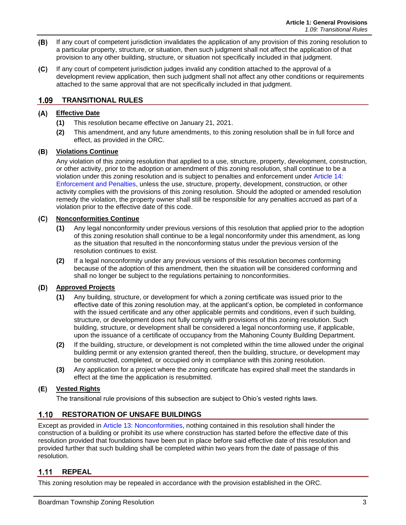- (B) If any court of competent jurisdiction invalidates the application of any provision of this zoning resolution to a particular property, structure, or situation, then such judgment shall not affect the application of that provision to any other building, structure, or situation not specifically included in that judgment.
- $(C)$ If any court of competent jurisdiction judges invalid any condition attached to the approval of a development review application, then such judgment shall not affect any other conditions or requirements attached to the same approval that are not specifically included in that judgment.

#### $1.09$ **TRANSITIONAL RULES**

# **Effective Date**

- **(1)** This resolution became effective on January 21, 2021.
- **(2)** This amendment, and any future amendments, to this zoning resolution shall be in full force and effect, as provided in the ORC.

### **Violations Continue**

Any violation of this zoning resolution that applied to a use, structure, property, development, construction, or other activity, prior to the adoption or amendment of this zoning resolution, shall continue to be a violation under this zoning resolution and is subject to penalties and enforcement under Article 14: Enforcement and Penalties, unless the use, structure, property, development, construction, or other activity complies with the provisions of this zoning resolution. Should the adopted or amended resolution remedy the violation, the property owner shall still be responsible for any penalties accrued as part of a violation prior to the effective date of this code.

### **Nonconformities Continue**

- **(1)** Any legal nonconformity under previous versions of this resolution that applied prior to the adoption of this zoning resolution shall continue to be a legal nonconformity under this amendment, as long as the situation that resulted in the nonconforming status under the previous version of the resolution continues to exist.
- **(2)** If a legal nonconformity under any previous versions of this resolution becomes conforming because of the adoption of this amendment, then the situation will be considered conforming and shall no longer be subject to the regulations pertaining to nonconformities.

# **Approved Projects**

- **(1)** Any building, structure, or development for which a zoning certificate was issued prior to the effective date of this zoning resolution may, at the applicant's option, be completed in conformance with the issued certificate and any other applicable permits and conditions, even if such building, structure, or development does not fully comply with provisions of this zoning resolution. Such building, structure, or development shall be considered a legal nonconforming use, if applicable, upon the issuance of a certificate of occupancy from the Mahoning County Building Department.
- **(2)** If the building, structure, or development is not completed within the time allowed under the original building permit or any extension granted thereof, then the building, structure, or development may be constructed, completed, or occupied only in compliance with this zoning resolution.
- **(3)** Any application for a project where the zoning certificate has expired shall meet the standards in effect at the time the application is resubmitted.

#### **Vested Rights**

The transitional rule provisions of this subsection are subject to Ohio's vested rights laws.

# **1.10 RESTORATION OF UNSAFE BUILDINGS**

Except as provided in Article 13: Nonconformities, nothing contained in this resolution shall hinder the construction of a building or prohibit its use where construction has started before the effective date of this resolution provided that foundations have been put in place before said effective date of this resolution and provided further that such building shall be completed within two years from the date of passage of this resolution.

#### $1.11$ **REPEAL**

This zoning resolution may be repealed in accordance with the provision established in the ORC.